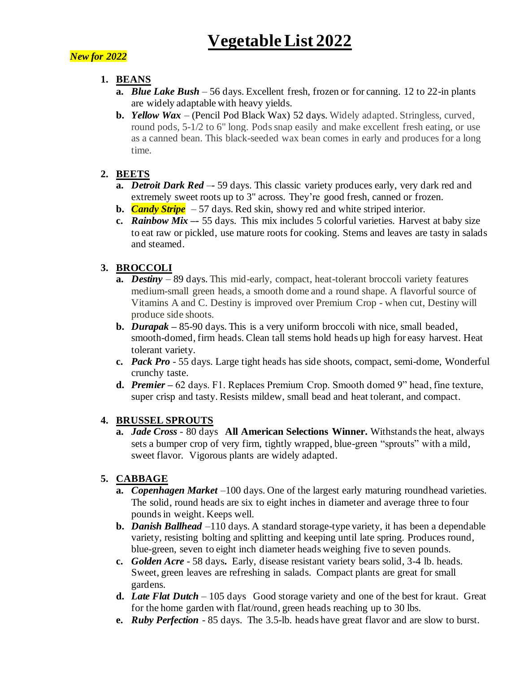# *New for 2022*

### **1. BEANS**

- **a.** *Blue Lake Bush*  56 days. Excellent fresh, frozen or for canning. 12 to 22-in plants are widely adaptable with heavy yields.
- **b.** *Yellow Wax* (Pencil Pod Black Wax) 52 days. Widely adapted. Stringless, curved, round pods, 5-1/2 to 6" long. Pods snap easily and make excellent fresh eating, or use as a canned bean. This black-seeded wax bean comes in early and produces for a long time.

### **2. BEETS**

- **a.** *Detroit Dark Red* –*-* 59 days. This classic variety produces early, very dark red and extremely sweet roots up to 3" across. They're good fresh, canned or frozen.
- **b.** *Candy Stripe –* 57 days. Red skin, showy red and white striped interior.
- **c.** *Rainbow Mix –-* 55 days. This mix includes 5 colorful varieties. Harvest at baby size to eat raw or pickled, use mature roots for cooking. Stems and leaves are tasty in salads and steamed.

# **3. BROCCOLI**

- **a.** *Destiny* 89 days. This mid-early, compact, heat-tolerant broccoli variety features medium-small green heads, a smooth dome and a round shape. A flavorful source of Vitamins A and C. Destiny is improved over Premium Crop - when cut, Destiny will produce side shoots.
- **b.** *Durapak –* 85-90 days. This is a very uniform broccoli with nice, small beaded, smooth-domed, firm heads. Clean tall stems hold heads up high for easy harvest. Heat tolerant variety.
- **c.** *Pack Pro* 55 days. Large tight heads has side shoots, compact, semi-dome, Wonderful crunchy taste.
- **d.** *Premier –* 62 days. F1. Replaces Premium Crop. Smooth domed 9" head, fine texture, super crisp and tasty. Resists mildew, small bead and heat tolerant, and compact.

#### **4. BRUSSEL SPROUTS**

**a.** *Jade Cross* - 80 days **All American Selections Winner.** Withstands the heat, always sets a bumper crop of very firm, tightly wrapped, blue-green "sprouts" with a mild, sweet flavor. Vigorous plants are widely adapted.

# **5. CABBAGE**

- **a.** *Copenhagen Market* –100 days. One of the largest early maturing roundhead varieties. The solid, round heads are six to eight inches in diameter and average three to four pounds in weight. Keeps well.
- **b.** *Danish Ballhead* –110 days. A standard storage-type variety, it has been a dependable variety, resisting bolting and splitting and keeping until late spring. Produces round, blue-green, seven to eight inch diameter heads weighing five to seven pounds.
- **c.** *Golden Acre* 58 days**.** Early, disease resistant variety bears solid, 3-4 lb. heads. Sweet, green leaves are refreshing in salads. Compact plants are great for small gardens.
- **d.** *Late Flat Dutch* 105 days Good storage variety and one of the best for kraut. Great for the home garden with flat/round, green heads reaching up to 30 lbs.
- **e.** *Ruby Perfection* 85 days. The 3.5-lb. heads have great flavor and are slow to burst.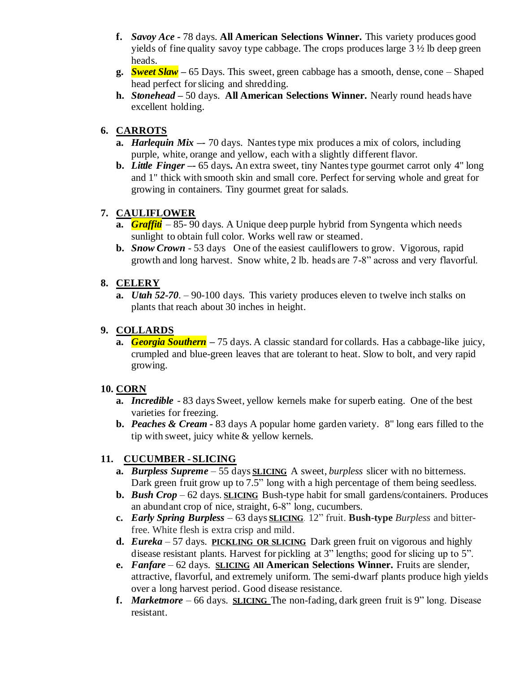- **f.** *Savoy Ace -* 78 days. **All American Selections Winner.** This variety produces good yields of fine quality savoy type cabbage. The crops produces large  $3 \frac{1}{2}$  lb deep green heads.
- **g.** *Sweet Slaw –* 65 Days. This sweet, green cabbage has a smooth, dense, cone Shaped head perfect for slicing and shredding.
- **h.** *Stonehead* **–** 50 days. **All American Selections Winner.** Nearly round heads have excellent holding.

### **6. CARROTS**

- **a.** *Harlequin Mix* **–***-* 70 days.Nantes type mix produces a mix of colors, including purple, white, orange and yellow, each with a slightly different flavor.
- **b.** *Little Finger –***-** 65 days**.** An extra sweet, tiny Nantes type gourmet carrot only 4" long and 1" thick with smooth skin and small core. Perfect for serving whole and great for growing in containers. Tiny gourmet great for salads.

### **7. CAULIFLOWER**

- **a.** *Graffiti* 85- 90 days. A Unique deep purple hybrid from Syngenta which needs sunlight to obtain full color. Works well raw or steamed.
- **b.** *Snow Crown* 53 days One of the easiest cauliflowers to grow. Vigorous, rapid growth and long harvest. Snow white, 2 lb. heads are 7-8" across and very flavorful.

### **8. CELERY**

**a.** *Utah 52-70*. – 90-100 days. This variety produces eleven to twelve inch stalks on plants that reach about 30 inches in height.

### **9. COLLARDS**

**a.** *Georgia Southern –* 75 days. A classic standard for collards. Has a cabbage-like juicy, crumpled and blue-green leaves that are tolerant to heat. Slow to bolt, and very rapid growing.

#### **10. CORN**

- **a.** *Incredible* 83 days Sweet, yellow kernels make for superb eating. One of the best varieties for freezing.
- **b.** *Peaches & Cream -* 83 days A popular home garden variety. 8" long ears filled to the tip with sweet, juicy white & yellow kernels.

# **11. CUCUMBER - SLICING**

- **a.** *Burpless Supreme* 55 days **SLICING** A sweet, *burpless* slicer with no bitterness. Dark green fruit grow up to 7.5" long with a high percentage of them being seedless.
- **b.** *Bush Crop* 62 days. **SLICING** Bush-type habit for small gardens/containers. Produces an abundant crop of nice, straight, 6-8" long, cucumbers.
- **c.** *Early Spring Burpless* 63 days **SLICING**. 12" fruit. **Bush-type** *Burpless* and bitterfree. White flesh is extra crisp and mild.
- **d.** *Eureka* 57 days. **PICKLING OR SLICING** Dark green fruit on vigorous and highly disease resistant plants. Harvest for pickling at 3" lengths; good for slicing up to 5".
- **e.** *Fanfare* 62 days. **SLICING All American Selections Winner.** Fruits are slender, attractive, flavorful, and extremely uniform. The semi-dwarf plants produce high yields over a long harvest period. Good disease resistance.
- **f.** *Marketmore* 66 days. **SLICING** The non-fading, dark green fruit is 9" long. Disease resistant.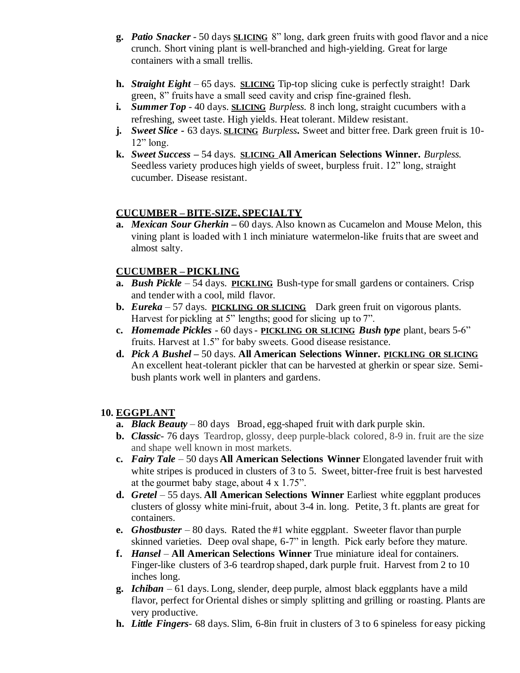- **g.** *Patio Snacker*  50 days **SLICING** 8" long, dark green fruits with good flavor and a nice crunch. Short vining plant is well-branched and high-yielding. Great for large containers with a small trellis.
- **h.** *Straight Eight*  65 days. **SLICING** Tip-top slicing cuke is perfectly straight! Dark green, 8" fruits have a small seed cavity and crisp fine-grained flesh.
- **i.** *Summer Top* 40 days. **SLICING** *Burpless.* 8 inch long, straight cucumbers with a refreshing, sweet taste. High yields. Heat tolerant. Mildew resistant.
- **j.** *Sweet Slice -* 63 days. **SLICING** *Burpless***.** Sweet and bitter free. Dark green fruit is 10-  $12$ " long.
- **k.** *Sweet Success –* 54 days. **SLICING All American Selections Winner.** *Burpless.* Seedless variety produces high yields of sweet, burpless fruit. 12" long, straight cucumber. Disease resistant.

#### **CUCUMBER – BITE-SIZE, SPECIALTY**

**a.** *Mexican Sour Gherkin –* 60 days. Also known as Cucamelon and Mouse Melon, this vining plant is loaded with 1 inch miniature watermelon-like fruits that are sweet and almost salty.

#### **CUCUMBER – PICKLING**

- **a.** *Bush Pickle* 54 days. **PICKLING** Bush-type for small gardens or containers. Crisp and tender with a cool, mild flavor.
- **b.** *Eureka* 57 days. **PICKLING OR SLICING** Dark green fruit on vigorous plants. Harvest for pickling at 5" lengths; good for slicing up to 7".
- **c.** *Homemade Pickles* 60 days **PICKLING OR SLICING** *Bush type* plant, bears 5-6" fruits. Harvest at 1.5" for baby sweets. Good disease resistance.
- **d.** *Pick A Bushel –* 50 days. **All American Selections Winner. PICKLING OR SLICING** An excellent heat-tolerant pickler that can be harvested at gherkin or spear size. Semibush plants work well in planters and gardens.

#### **10. EGGPLANT**

- **a.** *Black Beauty* 80 days Broad, egg-shaped fruit with dark purple skin.
- **b.** *Classic* 76 days Teardrop, glossy, deep purple-black colored, 8-9 in. fruit are the size and shape well known in most markets.
- **c.** *Fairy Tale* 50 days **All American Selections Winner** Elongated lavender fruit with white stripes is produced in clusters of 3 to 5. Sweet, bitter-free fruit is best harvested at the gourmet baby stage, about 4 x 1.75".
- **d.** *Gretel*  55 days. **All American Selections Winner** Earliest white eggplant produces clusters of glossy white mini-fruit, about 3-4 in. long. Petite, 3 ft. plants are great for containers.
- **e.** *Ghostbuster* 80 days. Rated the #1 white eggplant. Sweeter flavor than purple skinned varieties. Deep oval shape, 6-7" in length. Pick early before they mature.
- **f.** *Hansel* **All American Selections Winner** True miniature ideal for containers. Finger-like clusters of 3-6 teardrop shaped, dark purple fruit. Harvest from 2 to 10 inches long.
- **g.** *Ichiban* 61 days. Long, slender, deep purple, almost black eggplants have a mild flavor, perfect for Oriental dishes or simply splitting and grilling or roasting. Plants are very productive.
- **h.** *Little Fingers* 68 days. Slim, 6-8in fruit in clusters of 3 to 6 spineless for easy picking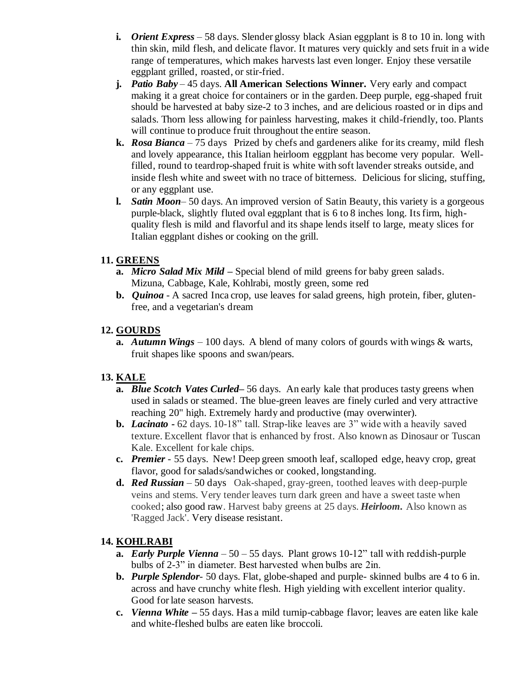- **i.** *Orient Express* 58 days. Slender glossy black Asian eggplant is 8 to 10 in. long with thin skin, mild flesh, and delicate flavor. It matures very quickly and sets fruit in a wide range of temperatures, which makes harvests last even longer. Enjoy these versatile eggplant grilled, roasted, or stir-fried.
- **j.** *Patio Baby* 45 days. **All American Selections Winner.** Very early and compact making it a great choice for containers or in the garden. Deep purple, egg-shaped fruit should be harvested at baby size-2 to 3 inches, and are delicious roasted or in dips and salads. Thorn less allowing for painless harvesting, makes it child-friendly, too. Plants will continue to produce fruit throughout the entire season.
- **k.** *Rosa Bianca* 75 days Prized by chefs and gardeners alike for its creamy, mild flesh and lovely appearance, this Italian heirloom eggplant has become very popular. Wellfilled, round to teardrop-shaped fruit is white with soft lavender streaks outside, and inside flesh white and sweet with no trace of bitterness. Delicious for slicing, stuffing, or any eggplant use.
- **l.** *Satin Moon* 50 days. An improved version of Satin Beauty, this variety is a gorgeous purple-black, slightly fluted oval eggplant that is 6 to 8 inches long. Its firm, highquality flesh is mild and flavorful and its shape lends itself to large, meaty slices for Italian eggplant dishes or cooking on the grill.

### **11. GREENS**

- **a.** *Micro Salad Mix Mild –* Special blend of mild greens for baby green salads. Mizuna, Cabbage, Kale, Kohlrabi, mostly green, some red
- **b.** *Quinoa* A sacred Inca crop, use leaves for salad greens, high protein, fiber, glutenfree, and a vegetarian's dream

### **12. GOURDS**

**a.** *Autumn Wings* – 100 days. A blend of many colors of gourds with wings & warts, fruit shapes like spoons and swan/pears.

# **13. KALE**

- **a.** *Blue Scotch Vates Curled***–** 56 days.An early kale that produces tasty greens when used in salads or steamed. The blue-green leaves are finely curled and very attractive reaching 20" high. Extremely hardy and productive (may overwinter).
- **b.** *Lacinato -* 62 days. 10-18" tall. Strap-like leaves are 3" wide with a heavily saved texture. Excellent flavor that is enhanced by frost. Also known as Dinosaur or Tuscan Kale. Excellent for kale chips.
- **c.** *Premier* 55 days. New! Deep green smooth leaf, scalloped edge, heavy crop, great flavor, good for salads/sandwiches or cooked, longstanding.
- **d.** *Red Russian* 50 daysOak-shaped, gray-green, toothed leaves with deep-purple veins and stems. Very tender leaves turn dark green and have a sweet taste when cooked; also good raw. Harvest baby greens at 25 days. *Heirloom.* Also known as 'Ragged Jack'. Very disease resistant.

# **14. KOHLRABI**

- **a.** *Early Purple Vienna* 50 55 days. Plant grows 10-12" tall with reddish-purple bulbs of 2-3" in diameter. Best harvested when bulbs are 2in.
- **b.** *Purple Splendor* 50 days. Flat, globe-shaped and purple- skinned bulbs are 4 to 6 in. across and have crunchy white flesh. High yielding with excellent interior quality. Good for late season harvests.
- **c.** *Vienna White –* 55 days. Has a mild turnip-cabbage flavor; leaves are eaten like kale and white-fleshed bulbs are eaten like broccoli.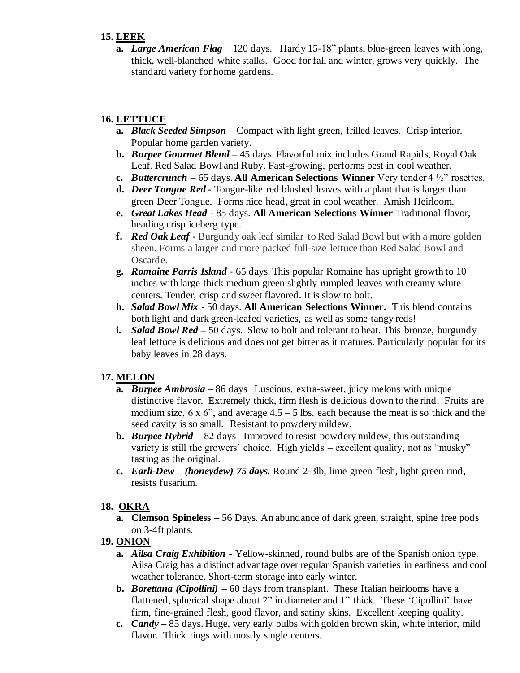### **15. LEEK**

**a.** *Large American Flag* – 120 days. Hardy 15-18" plants, blue-green leaves with long, thick, well-blanched white stalks. Good for fall and winter, grows very quickly. The standard variety for home gardens.

# **16. LETTUCE**

- **a.** *Black Seeded Simpson* Compact with light green, frilled leaves. Crisp interior. Popular home garden variety.
- **b.** *Burpee Gourmet Blend –* 45 days. Flavorful mix includes Grand Rapids, Royal Oak Leaf, Red Salad Bowl and Ruby. Fast-growing, performs best in cool weather.
- **c.** *Buttercrunch* 65 days. **All American Selections Winner** Very tender 4 ½" rosettes.
- **d.** *Deer Tongue Red -* Tongue-like red blushed leaves with a plant that is larger than green Deer Tongue. Forms nice head, great in cool weather. Amish Heirloom.
- **e.** *Great Lakes Head* 85 days. **All American Selections Winner** Traditional flavor, heading crisp iceberg type.
- **f.** *Red Oak Leaf* **-** Burgundy oak leaf similar to Red Salad Bowl but with a more golden sheen. Forms a larger and more packed full-size lettuce than Red Salad Bowl and Oscarde.
- **g.** *Romaine Parris Island* 65 days. This popular Romaine has upright growth to 10 inches with large thick medium green slightly rumpled leaves with creamy white centers. Tender, crisp and sweet flavored. It is slow to bolt.
- **h.** *Salad Bowl Mix -* 50 days. **All American Selections Winner.** This blend contains both light and dark green-leafed varieties, as well as some tangy reds!
- **i.** *Salad Bowl Red –* 50 days. Slow to bolt and tolerant to heat. This bronze, burgundy leaf lettuce is delicious and does not get bitter as it matures. Particularly popular for its baby leaves in 28 days.

# **17. MELON**

- **a.** *Burpee Ambrosia* 86 days Luscious, extra-sweet, juicy melons with unique distinctive flavor. Extremely thick, firm flesh is delicious down to the rind. Fruits are medium size,  $6 \times 6$ ", and average  $4.5 - 5$  lbs. each because the meat is so thick and the seed cavity is so small. Resistant to powdery mildew.
- **b.** *Burpee Hybrid* 82 days Improved to resist powdery mildew, this outstanding variety is still the growers' choice. High yields – excellent quality, not as "musky" tasting as the original.
- **c.** *Earli-Dew – (honeydew) 75 days.* Round 2-3lb, lime green flesh, light green rind, resists fusarium.

#### **18. OKRA**

**a. Clemson Spineless –** 56 Days. An abundance of dark green, straight, spine free pods on 3-4ft plants.

#### **19. ONION**

- **a.** *Ailsa Craig Exhibition -* Yellow-skinned, round bulbs are of the Spanish onion type. Ailsa Craig has a distinct advantage over regular Spanish varieties in earliness and cool weather tolerance. Short-term storage into early winter.
- **b.** *Borettana (Cipollini)* **–** 60 days from transplant. These Italian heirlooms have a flattened, spherical shape about 2" in diameter and 1" thick. These 'Cipollini' have firm, fine-grained flesh, good flavor, and satiny skins. Excellent keeping quality.
- **c.** *Candy* **–** 85 days. Huge, very early bulbs with golden brown skin, white interior, mild flavor. Thick rings with mostly single centers.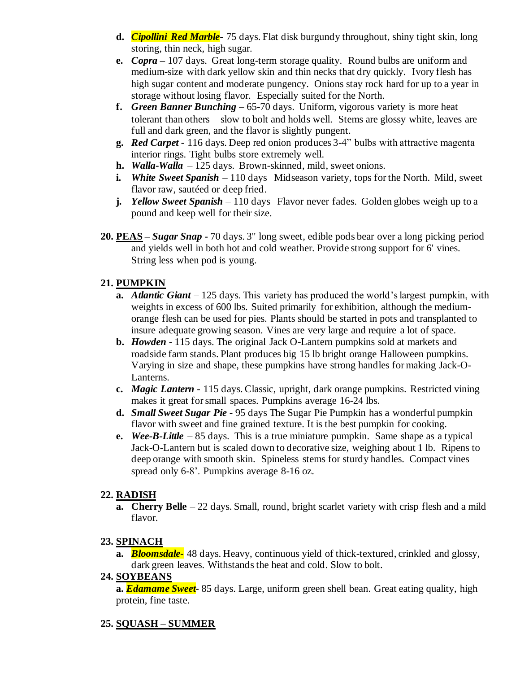- **d.** *Cipollini Red Marble-* 75 days. Flat disk burgundy throughout, shiny tight skin, long storing, thin neck, high sugar.
- **e.** *Copra* **–** 107 days. Great long-term storage quality. Round bulbs are uniform and medium-size with dark yellow skin and thin necks that dry quickly. Ivory flesh has high sugar content and moderate pungency. Onions stay rock hard for up to a year in storage without losing flavor. Especially suited for the North.
- **f.** *Green Banner Bunching –* 65-70 days. Uniform, vigorous variety is more heat tolerant than others – slow to bolt and holds well. Stems are glossy white, leaves are full and dark green, and the flavor is slightly pungent.
- **g.** *Red Carpet* 116 days. Deep red onion produces 3-4" bulbs with attractive magenta interior rings. Tight bulbs store extremely well.
- **h.** *Walla***-***Walla* 125 days. Brown-skinned, mild, sweet onions.
- **i.** *White Sweet Spanish*  110 days Midseason variety, tops for the North. Mild, sweet flavor raw, sautéed or deep fried.
- **j.** *Yellow Sweet Spanish* 110 days Flavor never fades. Golden globes weigh up to a pound and keep well for their size.
- **20. PEAS –** *Sugar Snap* **-** 70 days. 3" long sweet, edible pods bear over a long picking period and yields well in both hot and cold weather. Provide strong support for 6' vines. String less when pod is young.

# **21. PUMPKIN**

- **a.** *Atlantic Giant* 125 days. This variety has produced the world's largest pumpkin, with weights in excess of 600 lbs. Suited primarily for exhibition, although the mediumorange flesh can be used for pies. Plants should be started in pots and transplanted to insure adequate growing season. Vines are very large and require a lot of space.
- **b.** *Howden* **-** 115 days. The original Jack O-Lantern pumpkins sold at markets and roadside farm stands. Plant produces big 15 lb bright orange Halloween pumpkins. Varying in size and shape, these pumpkins have strong handles for making Jack-O-Lanterns.
- **c.** *Magic Lantern* 115 days. Classic, upright, dark orange pumpkins. Restricted vining makes it great for small spaces. Pumpkins average 16-24 lbs.
- **d.** *Small Sweet Sugar Pie* **-** 95 days The Sugar Pie Pumpkin has a wonderful pumpkin flavor with sweet and fine grained texture. It is the best pumpkin for cooking.
- **e.** *Wee-B-Little* 85 days. This is a true miniature pumpkin. Same shape as a typical Jack-O-Lantern but is scaled down to decorative size, weighing about 1 lb. Ripens to deep orange with smooth skin. Spineless stems for sturdy handles. Compact vines spread only 6-8'. Pumpkins average 8-16 oz.

# **22. RADISH**

**a. Cherry Belle** – 22 days. Small, round, bright scarlet variety with crisp flesh and a mild flavor.

# **23. SPINACH**

**a.** *Bloomsdale-* 48 days. Heavy, continuous yield of thick-textured, crinkled and glossy, dark green leaves. Withstands the heat and cold. Slow to bolt.

# **24. SOYBEANS**

**a.** *Edamame Sweet-* 85 days. Large, uniform green shell bean. Great eating quality, high protein, fine taste.

# **25. SQUASH** *–* **SUMMER**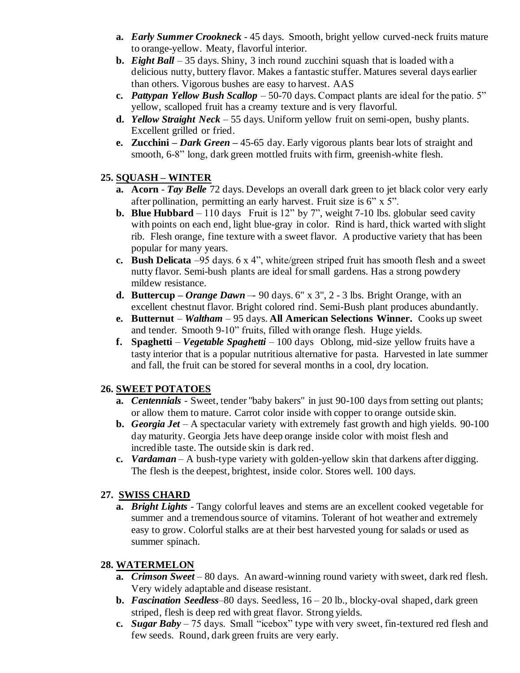- **a.** *Early Summer Crookneck* 45 days. Smooth, bright yellow curved-neck fruits mature to orange-yellow. Meaty, flavorful interior.
- **b.** *Eight Ball*  35 days. Shiny, 3 inch round zucchini squash that is loaded with a delicious nutty, buttery flavor. Makes a fantastic stuffer. Matures several days earlier than others. Vigorous bushes are easy to harvest. AAS
- **c.** *Pattypan Yellow Bush Scallop* 50-70 days. Compact plants are ideal for the patio. 5" yellow, scalloped fruit has a creamy texture and is very flavorful.
- **d.** *Yellow Straight Neck* 55 days. Uniform yellow fruit on semi-open, bushy plants. Excellent grilled or fried.
- **e. Zucchini** *– Dark Green –* 45-65 day. Early vigorous plants bear lots of straight and smooth, 6-8" long, dark green mottled fruits with firm, greenish-white flesh.

### **25. SQUASH – WINTER**

- **a. Acorn** *Tay Belle* 72 days. Develops an overall dark green to jet black color very early after pollination, permitting an early harvest. Fruit size is 6" x 5".
- **b. Blue Hubbard** 110 days Fruit is 12" by 7", weight 7-10 lbs. globular seed cavity with points on each end, light blue-gray in color. Rind is hard, thick warted with slight rib. Flesh orange, fine texture with a sweet flavor. A productive variety that has been popular for many years.
- **c. Bush Delicata** *–*95 days. 6 x 4", white/green striped fruit has smooth flesh and a sweet nutty flavor. Semi-bush plants are ideal for small gardens. Has a strong powdery mildew resistance.
- **d. Buttercup –** *Orange Dawn* –*-* 90 days. 6" x 3", 2 3 lbs. Bright Orange, with an excellent chestnut flavor. Bright colored rind. Semi-Bush plant produces abundantly.
- **e. Butternut** *Waltham* 95 days. **All American Selections Winner.** Cooks up sweet and tender. Smooth 9-10" fruits, filled with orange flesh. Huge yields.
- **f. Spaghetti** *Vegetable Spaghetti* 100 days Oblong, mid-size yellow fruits have a tasty interior that is a popular nutritious alternative for pasta. Harvested in late summer and fall, the fruit can be stored for several months in a cool, dry location.

### **26. SWEET POTATOES**

- **a.** *Centennials* Sweet, tender "baby bakers" in just 90-100 days from setting out plants; or allow them to mature. Carrot color inside with copper to orange outside skin.
- **b.** *Georgia Jet*  A spectacular variety with extremely fast growth and high yields. 90-100 day maturity. Georgia Jets have deep orange inside color with moist flesh and incredible taste. The outside skin is dark red.
- **c.** *Vardaman*  A bush-type variety with golden-yellow skin that darkens after digging. The flesh is the deepest, brightest, inside color. Stores well. 100 days.

#### **27. SWISS CHARD**

**a.** *Bright Lights* - Tangy colorful leaves and stems are an excellent cooked vegetable for summer and a tremendous source of vitamins. Tolerant of hot weather and extremely easy to grow. Colorful stalks are at their best harvested young for salads or used as summer spinach.

#### **28. WATERMELON**

- **a.** *Crimson Sweet* 80 days. An award-winning round variety with sweet, dark red flesh. Very widely adaptable and disease resistant.
- **b.** *Fascination Seedless*–80 days. Seedless, 16 20 lb., blocky-oval shaped, dark green striped, flesh is deep red with great flavor. Strong yields.
- **c.** *Sugar Baby* 75 days. Small "icebox" type with very sweet, fin-textured red flesh and few seeds. Round, dark green fruits are very early.